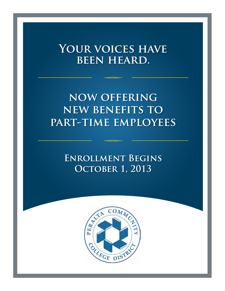# YOUR VOICES HAVE **been heard.**

 $\rightarrow$ 

# **now offering new benefits to part-time employees**

**Enrollment Begins October 1, 2013**

 $\rightarrow$ 

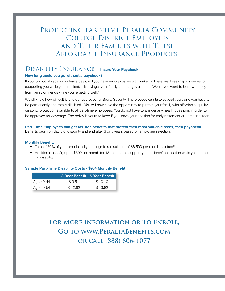## PROTECTING PART-TIME PERALTA COMMUNITY College District Employees and Their Families with These Affordable Insurance Products.

### Disability Insurance - **Insure Your Paycheck**

### **How long could you go without a paycheck?**

If you run out of vacation or leave days, will you have enough savings to make it? There are three major sources for supporting you while you are disabled: savings, your family and the government. Would you want to borrow money from family or friends while you're getting well?

We all know how difficult it is to get approved for Social Security. The process can take several years and you have to be permanently and totally disabled. You will now have the opportunity to protect your family with affordable, quality disability protection available to all part-time employees. You do not have to answer any health questions in order to be approved for coverage. The policy is yours to keep if you leave your position for early retirement or another career.

**Part-Time Employees can get tax-free benefits that protect their most valuable asset, their paycheck.** Benefits begin on day 8 of disability and end after 3 or 5 years based on employee selection.

### **Monthly Benefit:**

- Total of 60% of your pre-disability earnings to a maximum of \$6,500 per month, tax free!!!
- Additional benefit, up to \$300 per month for 48 months, to support your children's education while you are out on disability.

### **Sample Part-Time Disability Costs - \$954 Monthly Benefit**

|                        |         | 3-Year Benefit 5-Year Benefit |
|------------------------|---------|-------------------------------|
| <sup>'</sup> Age 40-44 | \$9.51  | \$10.10                       |
| Age 50-54              | \$12.62 | \$13.82                       |

## **For More Information or To Enroll, Go to www.PeraltaBenefits.com or call (888) 606-1077**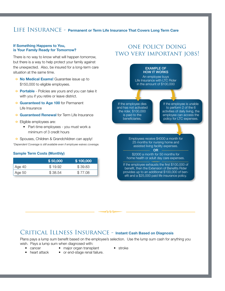### LIFE INSURANCE - **Permanent or Term Life Insurance That Covers Long Term Care**

#### **If Something Happens to You, is Your Family Ready for Tomorrow?**

There is no way to know what will happen tomorrow, but there is a way to help protect your family against the unexpected. Also, be insured for a long-term care situation at the same time.

- ◆ **No Medical Exams!** Guarantee issue up to \$150,000 to eligible employees.
- ◆ **Portable** Policies are yours and you can take it with you if you retire or leave district.
- ◆ Guaranteed to Age 100 for Permanent Life Insurance
- ◆ **Guaranteed Renewal** for Term Life Insurance
- $\triangle$  Eligible employees are:
	- Part-time employees you must work a minimum of 3 credit hours
- ◆ Spouses, Children & Grandchildren can apply!
- *\*Dependent Coverage is still available even if employee waives coverage.*

#### **Sample Term Costs (Monthly)**

|        | \$50,000 | \$100,000 |
|--------|----------|-----------|
| Age 40 | \$19.92  | \$39.83   |
| Age 50 | \$38.54  | \$77.08   |

### one policy doing two very important jobs!



### Critical Illness Insurance - **Instant Cash Based on Diagnosis**

Plans pays a lump sum benefit based on the employee's selection. Use the lump sum cash for anything you wish. Pays a lump sum when diagnosed with:

 $\rightarrow$ 

- 
- cancer major organ transplant stroke
	-
- heart attack or end-stage renal failure.
- 
-